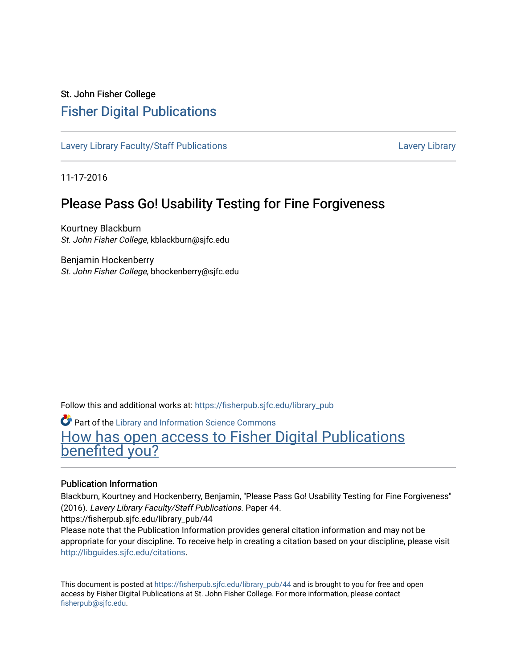## St. John Fisher College [Fisher Digital Publications](https://fisherpub.sjfc.edu/)

[Lavery Library Faculty/Staff Publications](https://fisherpub.sjfc.edu/library_pub) [Lavery Library](https://fisherpub.sjfc.edu/library) Lavery Library

11-17-2016

## Please Pass Go! Usability Testing for Fine Forgiveness

Kourtney Blackburn St. John Fisher College, kblackburn@sjfc.edu

Benjamin Hockenberry St. John Fisher College, bhockenberry@sjfc.edu

Follow this and additional works at: [https://fisherpub.sjfc.edu/library\\_pub](https://fisherpub.sjfc.edu/library_pub?utm_source=fisherpub.sjfc.edu%2Flibrary_pub%2F44&utm_medium=PDF&utm_campaign=PDFCoverPages)

Part of the [Library and Information Science Commons](http://network.bepress.com/hgg/discipline/1018?utm_source=fisherpub.sjfc.edu%2Flibrary_pub%2F44&utm_medium=PDF&utm_campaign=PDFCoverPages)  [How has open access to Fisher Digital Publications](https://docs.google.com/forms/d/14zrnDfH9d1wcdq8oG_-gFabAsxfcH5claltx85ZWyTg/viewform?entry.1394608989=https://fisherpub.sjfc.edu/library_pub/44%3Chttps://docs.google.com/forms/d/14zrnDfH9d1wcdq8oG_-gFabAsxfcH5claltx85ZWyTg/viewform?entry.1394608989=%7bhttps://fisherpub.sjfc.edu/library_pub/44%7d) [benefited you?](https://docs.google.com/forms/d/14zrnDfH9d1wcdq8oG_-gFabAsxfcH5claltx85ZWyTg/viewform?entry.1394608989=https://fisherpub.sjfc.edu/library_pub/44%3Chttps://docs.google.com/forms/d/14zrnDfH9d1wcdq8oG_-gFabAsxfcH5claltx85ZWyTg/viewform?entry.1394608989=%7bhttps://fisherpub.sjfc.edu/library_pub/44%7d)

## Publication Information

Blackburn, Kourtney and Hockenberry, Benjamin, "Please Pass Go! Usability Testing for Fine Forgiveness" (2016). Lavery Library Faculty/Staff Publications. Paper 44.

https://fisherpub.sjfc.edu/library\_pub/44

Please note that the Publication Information provides general citation information and may not be appropriate for your discipline. To receive help in creating a citation based on your discipline, please visit [http://libguides.sjfc.edu/citations.](http://libguides.sjfc.edu/citations)

This document is posted at [https://fisherpub.sjfc.edu/library\\_pub/44](https://fisherpub.sjfc.edu/library_pub/44) and is brought to you for free and open access by Fisher Digital Publications at St. John Fisher College. For more information, please contact [fisherpub@sjfc.edu](mailto:fisherpub@sjfc.edu).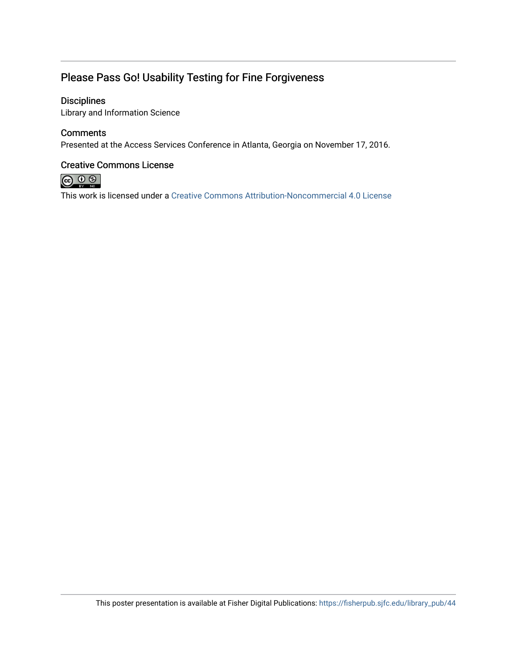## Please Pass Go! Usability Testing for Fine Forgiveness

## **Disciplines**

Library and Information Science

## **Comments**

Presented at the Access Services Conference in Atlanta, Georgia on November 17, 2016.

## Creative Commons License



This work is licensed under a [Creative Commons Attribution-Noncommercial 4.0 License](https://creativecommons.org/licenses/by-nc/4.0/)